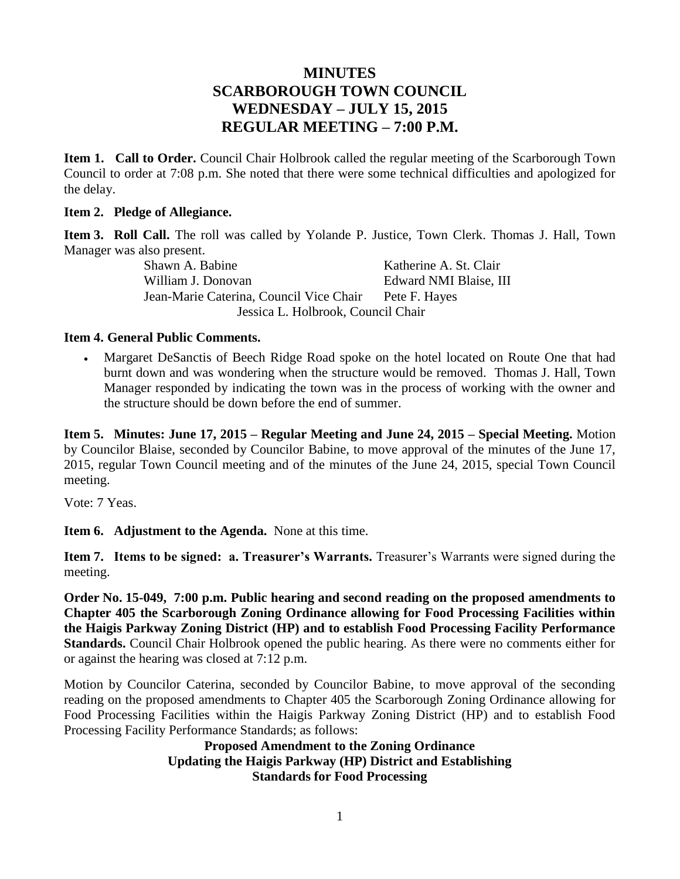# **MINUTES SCARBOROUGH TOWN COUNCIL WEDNESDAY – JULY 15, 2015 REGULAR MEETING – 7:00 P.M.**

**Item 1. Call to Order.** Council Chair Holbrook called the regular meeting of the Scarborough Town Council to order at 7:08 p.m. She noted that there were some technical difficulties and apologized for the delay.

#### **Item 2. Pledge of Allegiance.**

**Item 3. Roll Call.** The roll was called by Yolande P. Justice, Town Clerk. Thomas J. Hall, Town Manager was also present.

Shawn A. Babine Katherine A. St. Clair William J. Donovan Edward NMI Blaise, III Jean-Marie Caterina, Council Vice Chair Pete F. Hayes Jessica L. Holbrook, Council Chair

#### **Item 4. General Public Comments.**

 Margaret DeSanctis of Beech Ridge Road spoke on the hotel located on Route One that had burnt down and was wondering when the structure would be removed. Thomas J. Hall, Town Manager responded by indicating the town was in the process of working with the owner and the structure should be down before the end of summer.

**Item 5. Minutes: June 17, 2015 – Regular Meeting and June 24, 2015 – Special Meeting.** Motion by Councilor Blaise, seconded by Councilor Babine, to move approval of the minutes of the June 17, 2015, regular Town Council meeting and of the minutes of the June 24, 2015, special Town Council meeting.

Vote: 7 Yeas.

**Item 6. Adjustment to the Agenda.** None at this time.

**Item 7. Items to be signed: a. Treasurer's Warrants.** Treasurer's Warrants were signed during the meeting.

**Order No. 15-049, 7:00 p.m. Public hearing and second reading on the proposed amendments to Chapter 405 the Scarborough Zoning Ordinance allowing for Food Processing Facilities within the Haigis Parkway Zoning District (HP) and to establish Food Processing Facility Performance Standards.** Council Chair Holbrook opened the public hearing. As there were no comments either for or against the hearing was closed at 7:12 p.m.

Motion by Councilor Caterina, seconded by Councilor Babine, to move approval of the seconding reading on the proposed amendments to Chapter 405 the Scarborough Zoning Ordinance allowing for Food Processing Facilities within the Haigis Parkway Zoning District (HP) and to establish Food Processing Facility Performance Standards; as follows:

> **Proposed Amendment to the Zoning Ordinance Updating the Haigis Parkway (HP) District and Establishing Standards for Food Processing**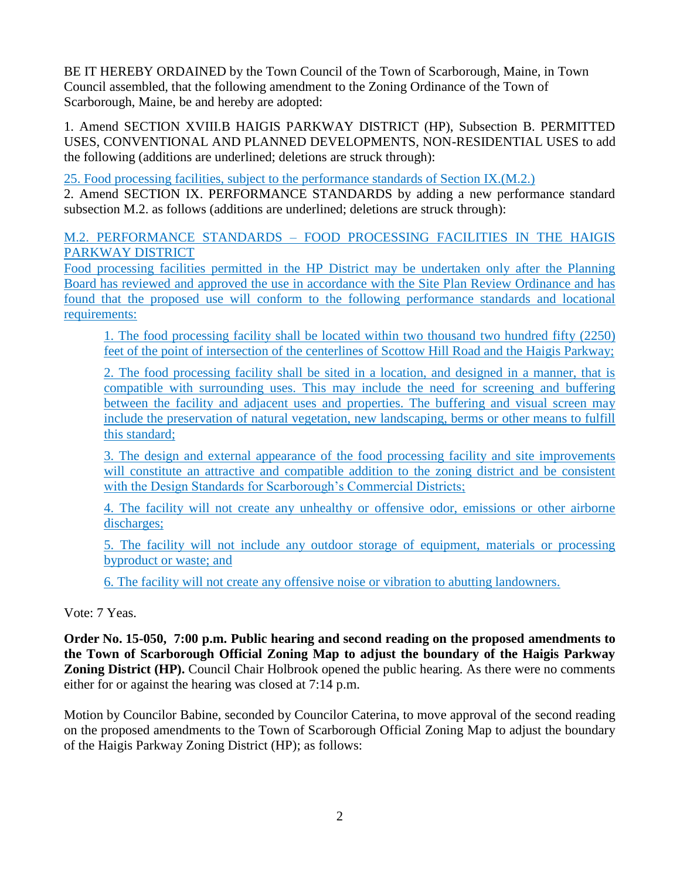BE IT HEREBY ORDAINED by the Town Council of the Town of Scarborough, Maine, in Town Council assembled, that the following amendment to the Zoning Ordinance of the Town of Scarborough, Maine, be and hereby are adopted:

1. Amend SECTION XVIII.B HAIGIS PARKWAY DISTRICT (HP), Subsection B. PERMITTED USES, CONVENTIONAL AND PLANNED DEVELOPMENTS, NON-RESIDENTIAL USES to add the following (additions are underlined; deletions are struck through):

25. Food processing facilities, subject to the performance standards of Section IX.(M.2.)

2. Amend SECTION IX. PERFORMANCE STANDARDS by adding a new performance standard subsection M.2. as follows (additions are underlined; deletions are struck through):

### M.2. PERFORMANCE STANDARDS – FOOD PROCESSING FACILITIES IN THE HAIGIS PARKWAY DISTRICT

Food processing facilities permitted in the HP District may be undertaken only after the Planning Board has reviewed and approved the use in accordance with the Site Plan Review Ordinance and has found that the proposed use will conform to the following performance standards and locational requirements:

1. The food processing facility shall be located within two thousand two hundred fifty (2250) feet of the point of intersection of the centerlines of Scottow Hill Road and the Haigis Parkway;

2. The food processing facility shall be sited in a location, and designed in a manner, that is compatible with surrounding uses. This may include the need for screening and buffering between the facility and adjacent uses and properties. The buffering and visual screen may include the preservation of natural vegetation, new landscaping, berms or other means to fulfill this standard;

3. The design and external appearance of the food processing facility and site improvements will constitute an attractive and compatible addition to the zoning district and be consistent with the Design Standards for Scarborough's Commercial Districts;

4. The facility will not create any unhealthy or offensive odor, emissions or other airborne discharges;

5. The facility will not include any outdoor storage of equipment, materials or processing byproduct or waste; and

6. The facility will not create any offensive noise or vibration to abutting landowners.

Vote: 7 Yeas.

**Order No. 15-050, 7:00 p.m. Public hearing and second reading on the proposed amendments to the Town of Scarborough Official Zoning Map to adjust the boundary of the Haigis Parkway Zoning District (HP).** Council Chair Holbrook opened the public hearing. As there were no comments either for or against the hearing was closed at 7:14 p.m.

Motion by Councilor Babine, seconded by Councilor Caterina, to move approval of the second reading on the proposed amendments to the Town of Scarborough Official Zoning Map to adjust the boundary of the Haigis Parkway Zoning District (HP); as follows: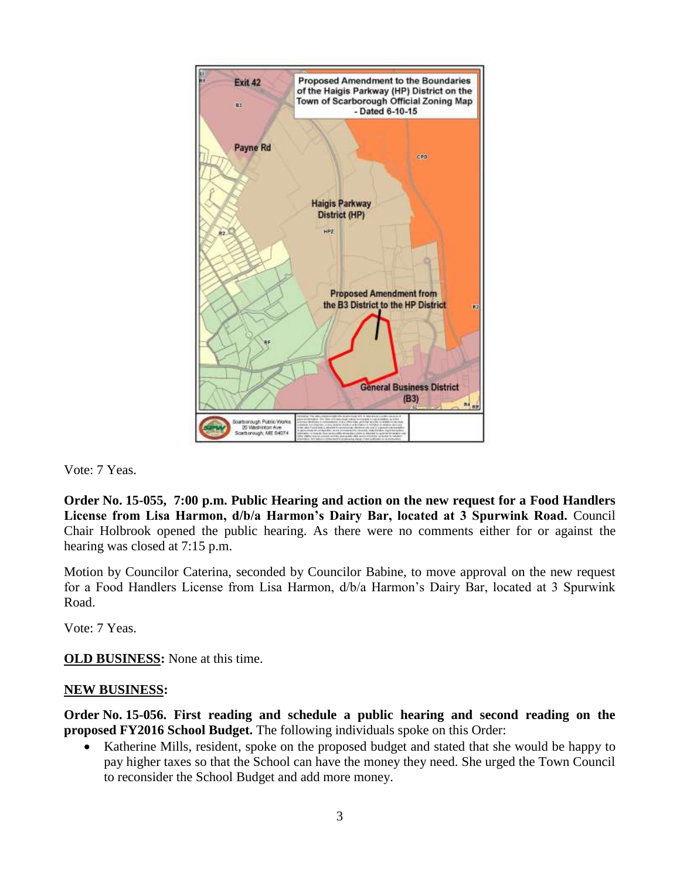

Vote: 7 Yeas.

**Order No. 15-055, 7:00 p.m. Public Hearing and action on the new request for a Food Handlers License from Lisa Harmon, d/b/a Harmon's Dairy Bar, located at 3 Spurwink Road.** Council Chair Holbrook opened the public hearing. As there were no comments either for or against the hearing was closed at 7:15 p.m.

Motion by Councilor Caterina, seconded by Councilor Babine, to move approval on the new request for a Food Handlers License from Lisa Harmon, d/b/a Harmon's Dairy Bar, located at 3 Spurwink Road.

Vote: 7 Yeas.

**OLD BUSINESS:** None at this time.

### **NEW BUSINESS:**

**Order No. 15-056. First reading and schedule a public hearing and second reading on the proposed FY2016 School Budget.** The following individuals spoke on this Order:

• Katherine Mills, resident, spoke on the proposed budget and stated that she would be happy to pay higher taxes so that the School can have the money they need. She urged the Town Council to reconsider the School Budget and add more money.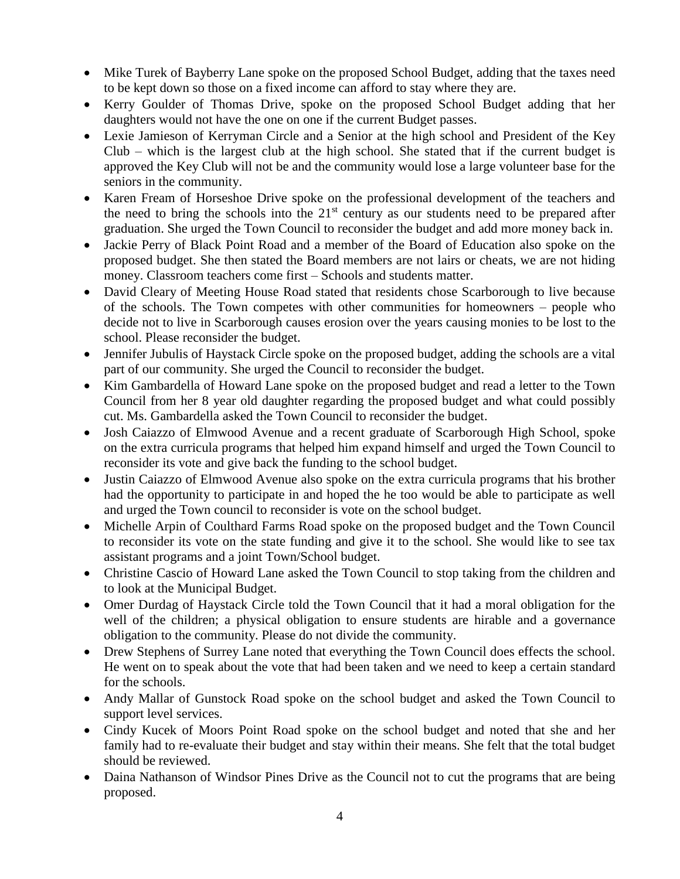- Mike Turek of Bayberry Lane spoke on the proposed School Budget, adding that the taxes need to be kept down so those on a fixed income can afford to stay where they are.
- Kerry Goulder of Thomas Drive, spoke on the proposed School Budget adding that her daughters would not have the one on one if the current Budget passes.
- Lexie Jamieson of Kerryman Circle and a Senior at the high school and President of the Key Club – which is the largest club at the high school. She stated that if the current budget is approved the Key Club will not be and the community would lose a large volunteer base for the seniors in the community.
- Karen Fream of Horseshoe Drive spoke on the professional development of the teachers and the need to bring the schools into the  $21<sup>st</sup>$  century as our students need to be prepared after graduation. She urged the Town Council to reconsider the budget and add more money back in.
- Jackie Perry of Black Point Road and a member of the Board of Education also spoke on the proposed budget. She then stated the Board members are not lairs or cheats, we are not hiding money. Classroom teachers come first – Schools and students matter.
- David Cleary of Meeting House Road stated that residents chose Scarborough to live because of the schools. The Town competes with other communities for homeowners – people who decide not to live in Scarborough causes erosion over the years causing monies to be lost to the school. Please reconsider the budget.
- Jennifer Jubulis of Haystack Circle spoke on the proposed budget, adding the schools are a vital part of our community. She urged the Council to reconsider the budget.
- Kim Gambardella of Howard Lane spoke on the proposed budget and read a letter to the Town Council from her 8 year old daughter regarding the proposed budget and what could possibly cut. Ms. Gambardella asked the Town Council to reconsider the budget.
- Josh Caiazzo of Elmwood Avenue and a recent graduate of Scarborough High School, spoke on the extra curricula programs that helped him expand himself and urged the Town Council to reconsider its vote and give back the funding to the school budget.
- Justin Caiazzo of Elmwood Avenue also spoke on the extra curricula programs that his brother had the opportunity to participate in and hoped the he too would be able to participate as well and urged the Town council to reconsider is vote on the school budget.
- Michelle Arpin of Coulthard Farms Road spoke on the proposed budget and the Town Council to reconsider its vote on the state funding and give it to the school. She would like to see tax assistant programs and a joint Town/School budget.
- Christine Cascio of Howard Lane asked the Town Council to stop taking from the children and to look at the Municipal Budget.
- Omer Durdag of Haystack Circle told the Town Council that it had a moral obligation for the well of the children; a physical obligation to ensure students are hirable and a governance obligation to the community. Please do not divide the community.
- Drew Stephens of Surrey Lane noted that everything the Town Council does effects the school. He went on to speak about the vote that had been taken and we need to keep a certain standard for the schools.
- Andy Mallar of Gunstock Road spoke on the school budget and asked the Town Council to support level services.
- Cindy Kucek of Moors Point Road spoke on the school budget and noted that she and her family had to re-evaluate their budget and stay within their means. She felt that the total budget should be reviewed.
- Daina Nathanson of Windsor Pines Drive as the Council not to cut the programs that are being proposed.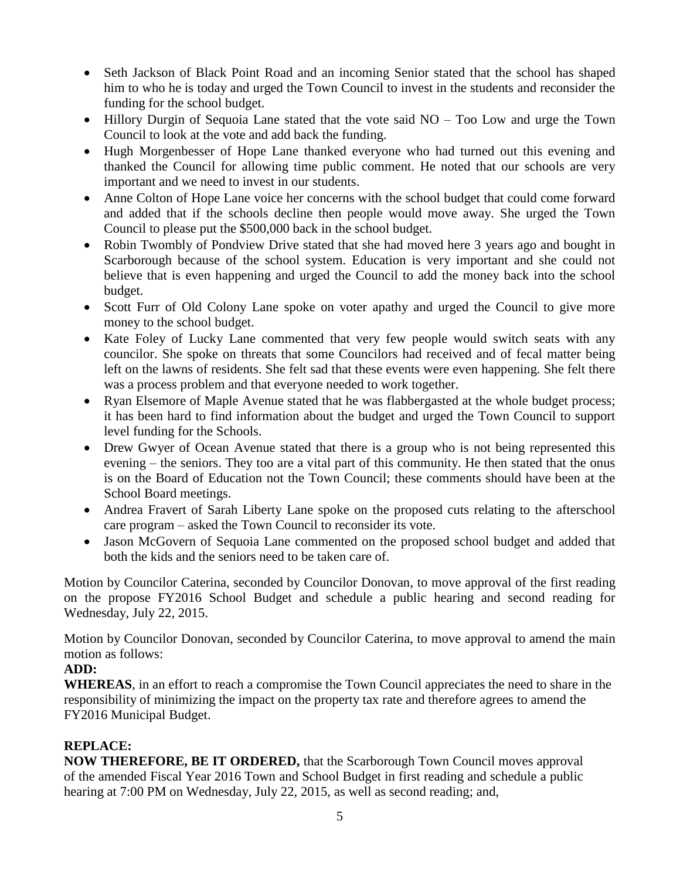- Seth Jackson of Black Point Road and an incoming Senior stated that the school has shaped him to who he is today and urged the Town Council to invest in the students and reconsider the funding for the school budget.
- Hillory Durgin of Sequoia Lane stated that the vote said NO Too Low and urge the Town Council to look at the vote and add back the funding.
- Hugh Morgenbesser of Hope Lane thanked everyone who had turned out this evening and thanked the Council for allowing time public comment. He noted that our schools are very important and we need to invest in our students.
- Anne Colton of Hope Lane voice her concerns with the school budget that could come forward and added that if the schools decline then people would move away. She urged the Town Council to please put the \$500,000 back in the school budget.
- Robin Twombly of Pondview Drive stated that she had moved here 3 years ago and bought in Scarborough because of the school system. Education is very important and she could not believe that is even happening and urged the Council to add the money back into the school budget.
- Scott Furr of Old Colony Lane spoke on voter apathy and urged the Council to give more money to the school budget.
- Kate Foley of Lucky Lane commented that very few people would switch seats with any councilor. She spoke on threats that some Councilors had received and of fecal matter being left on the lawns of residents. She felt sad that these events were even happening. She felt there was a process problem and that everyone needed to work together.
- Ryan Elsemore of Maple Avenue stated that he was flabbergasted at the whole budget process; it has been hard to find information about the budget and urged the Town Council to support level funding for the Schools.
- Drew Gwyer of Ocean Avenue stated that there is a group who is not being represented this evening – the seniors. They too are a vital part of this community. He then stated that the onus is on the Board of Education not the Town Council; these comments should have been at the School Board meetings.
- Andrea Fravert of Sarah Liberty Lane spoke on the proposed cuts relating to the afterschool care program – asked the Town Council to reconsider its vote.
- Jason McGovern of Sequoia Lane commented on the proposed school budget and added that both the kids and the seniors need to be taken care of.

Motion by Councilor Caterina, seconded by Councilor Donovan, to move approval of the first reading on the propose FY2016 School Budget and schedule a public hearing and second reading for Wednesday, July 22, 2015.

Motion by Councilor Donovan, seconded by Councilor Caterina, to move approval to amend the main motion as follows:

## **ADD:**

**WHEREAS**, in an effort to reach a compromise the Town Council appreciates the need to share in the responsibility of minimizing the impact on the property tax rate and therefore agrees to amend the FY2016 Municipal Budget.

## **REPLACE:**

**NOW THEREFORE, BE IT ORDERED,** that the Scarborough Town Council moves approval of the amended Fiscal Year 2016 Town and School Budget in first reading and schedule a public hearing at 7:00 PM on Wednesday, July 22, 2015, as well as second reading; and,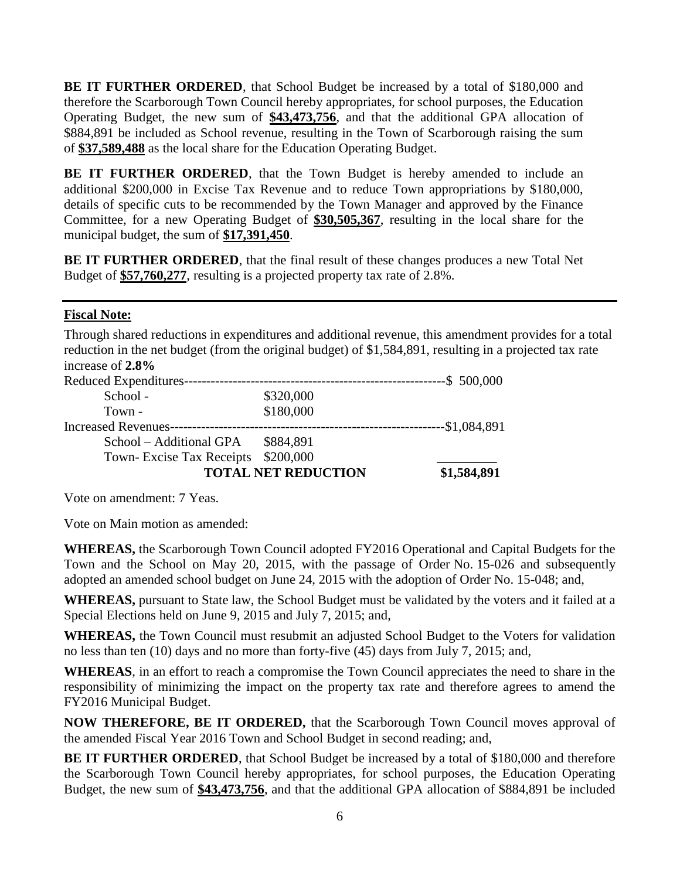**BE IT FURTHER ORDERED**, that School Budget be increased by a total of \$180,000 and therefore the Scarborough Town Council hereby appropriates, for school purposes, the Education Operating Budget, the new sum of **\$43,473,756**, and that the additional GPA allocation of \$884,891 be included as School revenue, resulting in the Town of Scarborough raising the sum of **\$37,589,488** as the local share for the Education Operating Budget.

**BE IT FURTHER ORDERED**, that the Town Budget is hereby amended to include an additional \$200,000 in Excise Tax Revenue and to reduce Town appropriations by \$180,000, details of specific cuts to be recommended by the Town Manager and approved by the Finance Committee, for a new Operating Budget of **\$30,505,367**, resulting in the local share for the municipal budget, the sum of **\$17,391,450**.

**BE IT FURTHER ORDERED**, that the final result of these changes produces a new Total Net Budget of **\$57,760,277**, resulting is a projected property tax rate of 2.8%.

## **Fiscal Note:**

Through shared reductions in expenditures and additional revenue, this amendment provides for a total reduction in the net budget (from the original budget) of \$1,584,891, resulting in a projected tax rate increase of **2.8%**

| <b>TOTAL NET REDUCTION</b>    |           | \$1,584,891   |
|-------------------------------|-----------|---------------|
| Town-Excise Tax Receipts      | \$200,000 |               |
| School – Additional GPA       | \$884,891 |               |
| Increased Revenues----------- |           | -\$1,084,891  |
| Town -                        | \$180,000 |               |
| School -                      | \$320,000 |               |
| Reduced Expenditures-         |           | $--$ 500,000$ |

Vote on amendment: 7 Yeas.

Vote on Main motion as amended:

**WHEREAS,** the Scarborough Town Council adopted FY2016 Operational and Capital Budgets for the Town and the School on May 20, 2015, with the passage of Order No. 15-026 and subsequently adopted an amended school budget on June 24, 2015 with the adoption of Order No. 15-048; and,

**WHEREAS,** pursuant to State law, the School Budget must be validated by the voters and it failed at a Special Elections held on June 9, 2015 and July 7, 2015; and,

**WHEREAS,** the Town Council must resubmit an adjusted School Budget to the Voters for validation no less than ten (10) days and no more than forty-five (45) days from July 7, 2015; and,

**WHEREAS**, in an effort to reach a compromise the Town Council appreciates the need to share in the responsibility of minimizing the impact on the property tax rate and therefore agrees to amend the FY2016 Municipal Budget.

**NOW THEREFORE, BE IT ORDERED,** that the Scarborough Town Council moves approval of the amended Fiscal Year 2016 Town and School Budget in second reading; and,

**BE IT FURTHER ORDERED**, that School Budget be increased by a total of \$180,000 and therefore the Scarborough Town Council hereby appropriates, for school purposes, the Education Operating Budget, the new sum of **\$43,473,756**, and that the additional GPA allocation of \$884,891 be included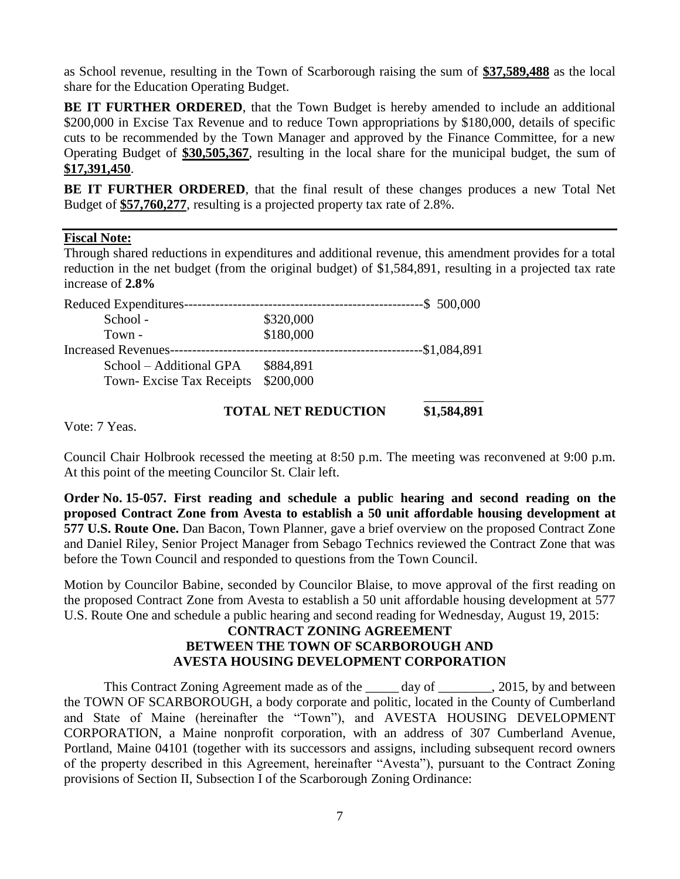as School revenue, resulting in the Town of Scarborough raising the sum of **\$37,589,488** as the local share for the Education Operating Budget.

**BE IT FURTHER ORDERED**, that the Town Budget is hereby amended to include an additional \$200,000 in Excise Tax Revenue and to reduce Town appropriations by \$180,000, details of specific cuts to be recommended by the Town Manager and approved by the Finance Committee, for a new Operating Budget of **\$30,505,367**, resulting in the local share for the municipal budget, the sum of **\$17,391,450**.

**BE IT FURTHER ORDERED**, that the final result of these changes produces a new Total Net Budget of **\$57,760,277**, resulting is a projected property tax rate of 2.8%.

#### **Fiscal Note:**

Through shared reductions in expenditures and additional revenue, this amendment provides for a total reduction in the net budget (from the original budget) of \$1,584,891, resulting in a projected tax rate increase of **2.8%**

| Reduced Expenditures-           |           | $-$ \$ 500,000<br>------------------------------------- |
|---------------------------------|-----------|---------------------------------------------------------|
| School -                        | \$320,000 |                                                         |
| Town -                          | \$180,000 |                                                         |
| <b>Increased Revenues--</b>     |           | -\$1,084,891<br>-------------------                     |
| School – Additional GPA         | \$884,891 |                                                         |
| <b>Town-Excise Tax Receipts</b> | \$200,000 |                                                         |
|                                 |           |                                                         |

### **TOTAL NET REDUCTION \$1,584,891**

Vote: 7 Yeas.

Council Chair Holbrook recessed the meeting at 8:50 p.m. The meeting was reconvened at 9:00 p.m. At this point of the meeting Councilor St. Clair left.

**Order No. 15-057. First reading and schedule a public hearing and second reading on the proposed Contract Zone from Avesta to establish a 50 unit affordable housing development at 577 U.S. Route One.** Dan Bacon, Town Planner, gave a brief overview on the proposed Contract Zone and Daniel Riley, Senior Project Manager from Sebago Technics reviewed the Contract Zone that was before the Town Council and responded to questions from the Town Council.

Motion by Councilor Babine, seconded by Councilor Blaise, to move approval of the first reading on the proposed Contract Zone from Avesta to establish a 50 unit affordable housing development at 577 U.S. Route One and schedule a public hearing and second reading for Wednesday, August 19, 2015:

#### **CONTRACT ZONING AGREEMENT BETWEEN THE TOWN OF SCARBOROUGH AND AVESTA HOUSING DEVELOPMENT CORPORATION**

This Contract Zoning Agreement made as of the day of \_\_\_\_\_\_\_, 2015, by and between the TOWN OF SCARBOROUGH, a body corporate and politic, located in the County of Cumberland and State of Maine (hereinafter the "Town"), and AVESTA HOUSING DEVELOPMENT CORPORATION, a Maine nonprofit corporation, with an address of 307 Cumberland Avenue, Portland, Maine 04101 (together with its successors and assigns, including subsequent record owners of the property described in this Agreement, hereinafter "Avesta"), pursuant to the Contract Zoning provisions of Section II, Subsection I of the Scarborough Zoning Ordinance: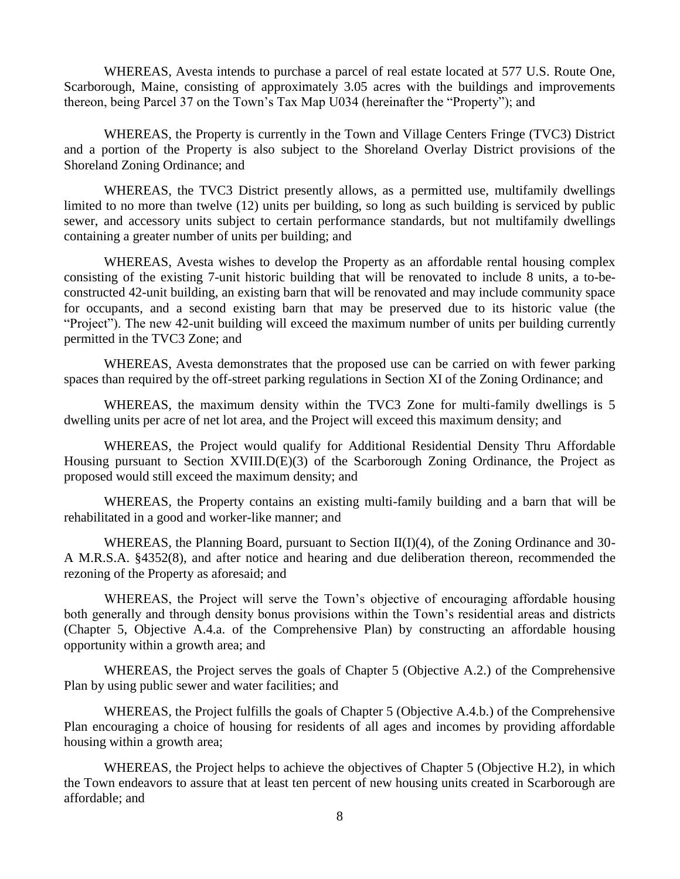WHEREAS, Avesta intends to purchase a parcel of real estate located at 577 U.S. Route One, Scarborough, Maine, consisting of approximately 3.05 acres with the buildings and improvements thereon, being Parcel 37 on the Town's Tax Map U034 (hereinafter the "Property"); and

WHEREAS, the Property is currently in the Town and Village Centers Fringe (TVC3) District and a portion of the Property is also subject to the Shoreland Overlay District provisions of the Shoreland Zoning Ordinance; and

WHEREAS, the TVC3 District presently allows, as a permitted use, multifamily dwellings limited to no more than twelve (12) units per building, so long as such building is serviced by public sewer, and accessory units subject to certain performance standards, but not multifamily dwellings containing a greater number of units per building; and

WHEREAS, Avesta wishes to develop the Property as an affordable rental housing complex consisting of the existing 7-unit historic building that will be renovated to include 8 units, a to-beconstructed 42-unit building, an existing barn that will be renovated and may include community space for occupants, and a second existing barn that may be preserved due to its historic value (the "Project"). The new 42-unit building will exceed the maximum number of units per building currently permitted in the TVC3 Zone; and

WHEREAS, Avesta demonstrates that the proposed use can be carried on with fewer parking spaces than required by the off-street parking regulations in Section XI of the Zoning Ordinance; and

WHEREAS, the maximum density within the TVC3 Zone for multi-family dwellings is 5 dwelling units per acre of net lot area, and the Project will exceed this maximum density; and

WHEREAS, the Project would qualify for Additional Residential Density Thru Affordable Housing pursuant to Section XVIII.D(E)(3) of the Scarborough Zoning Ordinance, the Project as proposed would still exceed the maximum density; and

WHEREAS, the Property contains an existing multi-family building and a barn that will be rehabilitated in a good and worker-like manner; and

WHEREAS, the Planning Board, pursuant to Section II(I)(4), of the Zoning Ordinance and 30-A M.R.S.A. §4352(8), and after notice and hearing and due deliberation thereon, recommended the rezoning of the Property as aforesaid; and

WHEREAS, the Project will serve the Town's objective of encouraging affordable housing both generally and through density bonus provisions within the Town's residential areas and districts (Chapter 5, Objective A.4.a. of the Comprehensive Plan) by constructing an affordable housing opportunity within a growth area; and

WHEREAS, the Project serves the goals of Chapter 5 (Objective A.2.) of the Comprehensive Plan by using public sewer and water facilities; and

WHEREAS, the Project fulfills the goals of Chapter 5 (Objective A.4.b.) of the Comprehensive Plan encouraging a choice of housing for residents of all ages and incomes by providing affordable housing within a growth area;

WHEREAS, the Project helps to achieve the objectives of Chapter 5 (Objective H.2), in which the Town endeavors to assure that at least ten percent of new housing units created in Scarborough are affordable; and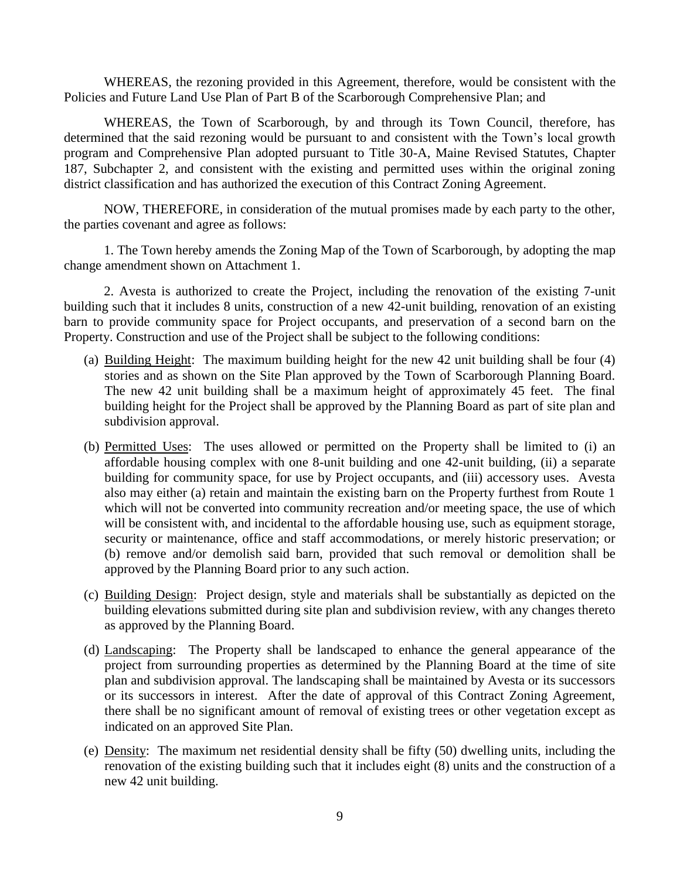WHEREAS, the rezoning provided in this Agreement, therefore, would be consistent with the Policies and Future Land Use Plan of Part B of the Scarborough Comprehensive Plan; and

WHEREAS, the Town of Scarborough, by and through its Town Council, therefore, has determined that the said rezoning would be pursuant to and consistent with the Town's local growth program and Comprehensive Plan adopted pursuant to Title 30-A, Maine Revised Statutes, Chapter 187, Subchapter 2, and consistent with the existing and permitted uses within the original zoning district classification and has authorized the execution of this Contract Zoning Agreement.

NOW, THEREFORE, in consideration of the mutual promises made by each party to the other, the parties covenant and agree as follows:

1. The Town hereby amends the Zoning Map of the Town of Scarborough, by adopting the map change amendment shown on Attachment 1.

2. Avesta is authorized to create the Project, including the renovation of the existing 7-unit building such that it includes 8 units, construction of a new 42-unit building, renovation of an existing barn to provide community space for Project occupants, and preservation of a second barn on the Property. Construction and use of the Project shall be subject to the following conditions:

- (a) Building Height: The maximum building height for the new 42 unit building shall be four (4) stories and as shown on the Site Plan approved by the Town of Scarborough Planning Board. The new 42 unit building shall be a maximum height of approximately 45 feet. The final building height for the Project shall be approved by the Planning Board as part of site plan and subdivision approval.
- (b) Permitted Uses: The uses allowed or permitted on the Property shall be limited to (i) an affordable housing complex with one 8-unit building and one 42-unit building, (ii) a separate building for community space, for use by Project occupants, and (iii) accessory uses. Avesta also may either (a) retain and maintain the existing barn on the Property furthest from Route 1 which will not be converted into community recreation and/or meeting space, the use of which will be consistent with, and incidental to the affordable housing use, such as equipment storage, security or maintenance, office and staff accommodations, or merely historic preservation; or (b) remove and/or demolish said barn, provided that such removal or demolition shall be approved by the Planning Board prior to any such action.
- (c) Building Design: Project design, style and materials shall be substantially as depicted on the building elevations submitted during site plan and subdivision review, with any changes thereto as approved by the Planning Board.
- (d) Landscaping: The Property shall be landscaped to enhance the general appearance of the project from surrounding properties as determined by the Planning Board at the time of site plan and subdivision approval. The landscaping shall be maintained by Avesta or its successors or its successors in interest. After the date of approval of this Contract Zoning Agreement, there shall be no significant amount of removal of existing trees or other vegetation except as indicated on an approved Site Plan.
- (e) Density: The maximum net residential density shall be fifty (50) dwelling units, including the renovation of the existing building such that it includes eight (8) units and the construction of a new 42 unit building.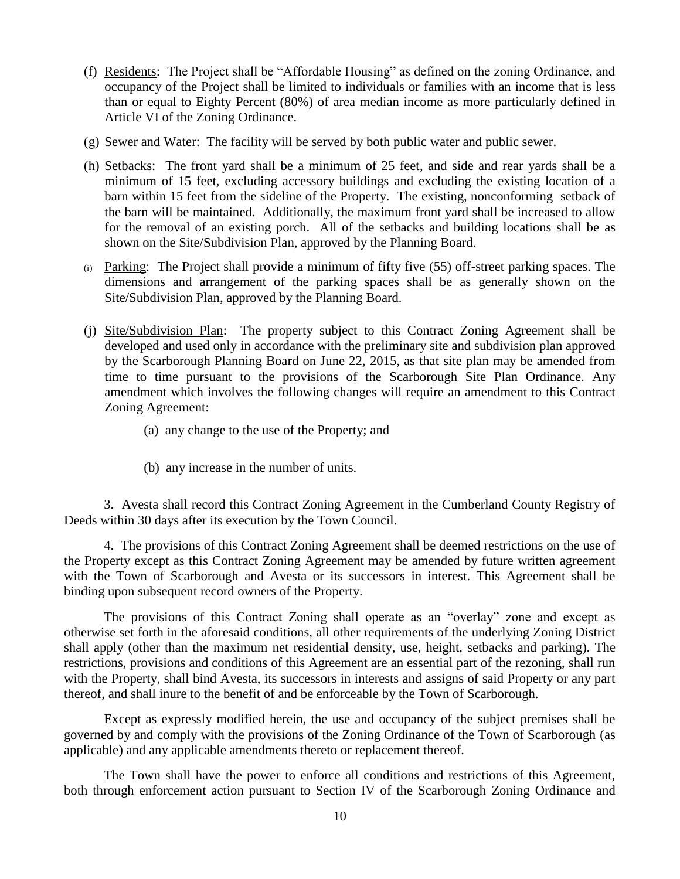- (f) Residents: The Project shall be "Affordable Housing" as defined on the zoning Ordinance, and occupancy of the Project shall be limited to individuals or families with an income that is less than or equal to Eighty Percent (80%) of area median income as more particularly defined in Article VI of the Zoning Ordinance.
- (g) Sewer and Water: The facility will be served by both public water and public sewer.
- (h) Setbacks: The front yard shall be a minimum of 25 feet, and side and rear yards shall be a minimum of 15 feet, excluding accessory buildings and excluding the existing location of a barn within 15 feet from the sideline of the Property. The existing, nonconforming setback of the barn will be maintained. Additionally, the maximum front yard shall be increased to allow for the removal of an existing porch. All of the setbacks and building locations shall be as shown on the Site/Subdivision Plan, approved by the Planning Board.
- (i) Parking: The Project shall provide a minimum of fifty five (55) off-street parking spaces. The dimensions and arrangement of the parking spaces shall be as generally shown on the Site/Subdivision Plan, approved by the Planning Board.
- (j) Site/Subdivision Plan: The property subject to this Contract Zoning Agreement shall be developed and used only in accordance with the preliminary site and subdivision plan approved by the Scarborough Planning Board on June 22, 2015, as that site plan may be amended from time to time pursuant to the provisions of the Scarborough Site Plan Ordinance. Any amendment which involves the following changes will require an amendment to this Contract Zoning Agreement:
	- (a) any change to the use of the Property; and
	- (b) any increase in the number of units.

3. Avesta shall record this Contract Zoning Agreement in the Cumberland County Registry of Deeds within 30 days after its execution by the Town Council.

4. The provisions of this Contract Zoning Agreement shall be deemed restrictions on the use of the Property except as this Contract Zoning Agreement may be amended by future written agreement with the Town of Scarborough and Avesta or its successors in interest. This Agreement shall be binding upon subsequent record owners of the Property.

The provisions of this Contract Zoning shall operate as an "overlay" zone and except as otherwise set forth in the aforesaid conditions, all other requirements of the underlying Zoning District shall apply (other than the maximum net residential density, use, height, setbacks and parking). The restrictions, provisions and conditions of this Agreement are an essential part of the rezoning, shall run with the Property, shall bind Avesta, its successors in interests and assigns of said Property or any part thereof, and shall inure to the benefit of and be enforceable by the Town of Scarborough.

Except as expressly modified herein, the use and occupancy of the subject premises shall be governed by and comply with the provisions of the Zoning Ordinance of the Town of Scarborough (as applicable) and any applicable amendments thereto or replacement thereof.

The Town shall have the power to enforce all conditions and restrictions of this Agreement, both through enforcement action pursuant to Section IV of the Scarborough Zoning Ordinance and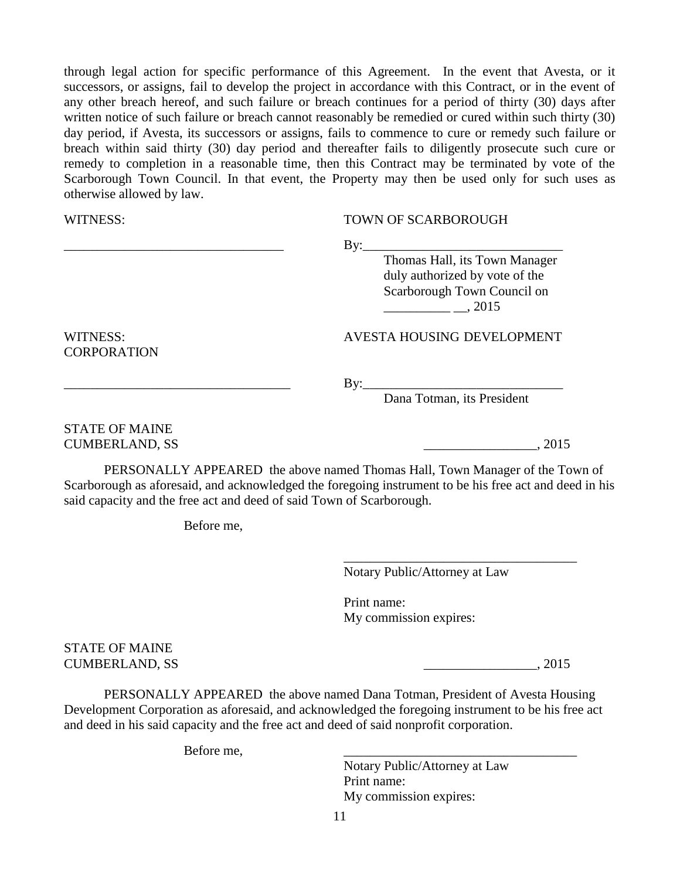through legal action for specific performance of this Agreement. In the event that Avesta, or it successors, or assigns, fail to develop the project in accordance with this Contract, or in the event of any other breach hereof, and such failure or breach continues for a period of thirty (30) days after written notice of such failure or breach cannot reasonably be remedied or cured within such thirty (30) day period, if Avesta, its successors or assigns, fails to commence to cure or remedy such failure or breach within said thirty (30) day period and thereafter fails to diligently prosecute such cure or remedy to completion in a reasonable time, then this Contract may be terminated by vote of the Scarborough Town Council. In that event, the Property may then be used only for such uses as otherwise allowed by law.

#### WITNESS: TOWN OF SCARBOROUGH

\_\_\_\_\_\_\_\_\_\_\_\_\_\_\_\_\_\_\_\_\_\_\_\_\_\_\_\_\_\_\_\_\_ By:\_\_\_\_\_\_\_\_\_\_\_\_\_\_\_\_\_\_\_\_\_\_\_\_\_\_\_\_\_\_

Thomas Hall, its Town Manager duly authorized by vote of the Scarborough Town Council on  $, 2015$ 

**CORPORATION** 

#### WITNESS: AVESTA HOUSING DEVELOPMENT

\_\_\_\_\_\_\_\_\_\_\_\_\_\_\_\_\_\_\_\_\_\_\_\_\_\_\_\_\_\_\_\_\_\_ By:\_\_\_\_\_\_\_\_\_\_\_\_\_\_\_\_\_\_\_\_\_\_\_\_\_\_\_\_\_\_

Dana Totman, its President

### STATE OF MAINE CUMBERLAND, SS \_\_\_\_\_\_\_\_\_\_\_\_\_\_\_\_\_, 2015

PERSONALLY APPEARED the above named Thomas Hall, Town Manager of the Town of Scarborough as aforesaid, and acknowledged the foregoing instrument to be his free act and deed in his said capacity and the free act and deed of said Town of Scarborough.

Before me,

Notary Public/Attorney at Law

\_\_\_\_\_\_\_\_\_\_\_\_\_\_\_\_\_\_\_\_\_\_\_\_\_\_\_\_\_\_\_\_\_\_\_

Print name: My commission expires:

STATE OF MAINE CUMBERLAND, SS \_\_\_\_\_\_\_\_\_\_\_\_\_\_\_\_\_, 2015

PERSONALLY APPEARED the above named Dana Totman, President of Avesta Housing Development Corporation as aforesaid, and acknowledged the foregoing instrument to be his free act and deed in his said capacity and the free act and deed of said nonprofit corporation.

Before me.

Notary Public/Attorney at Law Print name: My commission expires: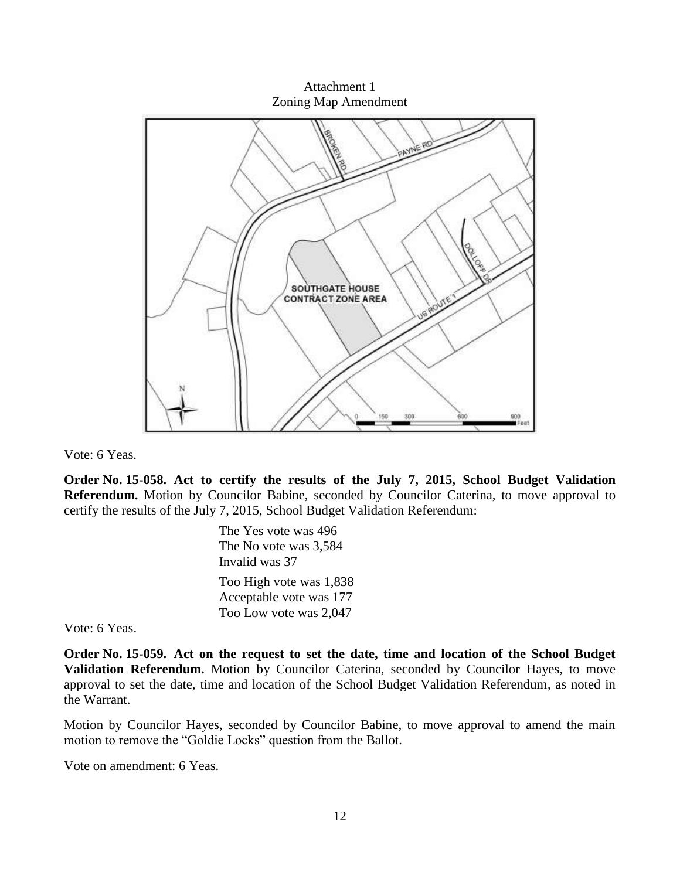Attachment 1 Zoning Map Amendment



Vote: 6 Yeas.

**Order No. 15-058. Act to certify the results of the July 7, 2015, School Budget Validation Referendum.** Motion by Councilor Babine, seconded by Councilor Caterina, to move approval to certify the results of the July 7, 2015, School Budget Validation Referendum:

> The Yes vote was 496 The No vote was 3,584 Invalid was 37 Too High vote was 1,838 Acceptable vote was 177 Too Low vote was 2,047

Vote: 6 Yeas.

**Order No. 15-059. Act on the request to set the date, time and location of the School Budget Validation Referendum.** Motion by Councilor Caterina, seconded by Councilor Hayes, to move approval to set the date, time and location of the School Budget Validation Referendum, as noted in the Warrant.

Motion by Councilor Hayes, seconded by Councilor Babine, to move approval to amend the main motion to remove the "Goldie Locks" question from the Ballot.

Vote on amendment: 6 Yeas.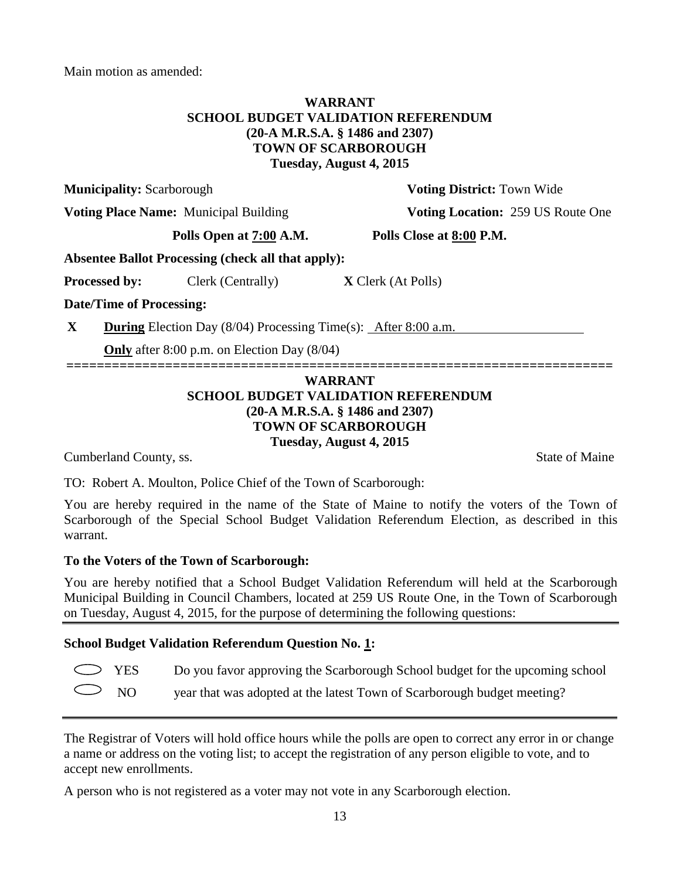Main motion as amended:

### **WARRANT SCHOOL BUDGET VALIDATION REFERENDUM (20-A M.R.S.A. § 1486 and 2307) TOWN OF SCARBOROUGH Tuesday, August 4, 2015**

**Municipality:** Scarborough **Voting District:** Town Wide

**Voting Place Name:** Municipal Building **Voting Location:** 259 US Route One

**Polls Open at 7:00 A.M. Polls Close at 8:00 P.M.**

**Absentee Ballot Processing (check all that apply):**

**Processed by:** Clerk (Centrally) **X** Clerk (At Polls)

**Date/Time of Processing:**

**X During** Election Day (8/04) Processing Time(s): After 8:00 a.m.

**Only** after 8:00 p.m. on Election Day (8/04)

### **WARRANT SCHOOL BUDGET VALIDATION REFERENDUM (20-A M.R.S.A. § 1486 and 2307) TOWN OF SCARBOROUGH Tuesday, August 4, 2015**

**========================================================================**

**Cumberland County, ss.** State of Maine

TO: Robert A. Moulton, Police Chief of the Town of Scarborough:

You are hereby required in the name of the State of Maine to notify the voters of the Town of Scarborough of the Special School Budget Validation Referendum Election, as described in this warrant.

## **To the Voters of the Town of Scarborough:**

You are hereby notified that a School Budget Validation Referendum will held at the Scarborough Municipal Building in Council Chambers, located at 259 US Route One, in the Town of Scarborough on Tuesday, August 4, 2015, for the purpose of determining the following questions:

## **School Budget Validation Referendum Question No. 1:**

| $\sum$ YES |  |  |  |  |  | Do you favor approving the Scarborough School budget for the upcoming school |
|------------|--|--|--|--|--|------------------------------------------------------------------------------|
|------------|--|--|--|--|--|------------------------------------------------------------------------------|

| $\bigcirc$ NO | year that was adopted at the latest Town of Scarborough budget meeting? |  |
|---------------|-------------------------------------------------------------------------|--|
|               |                                                                         |  |

The Registrar of Voters will hold office hours while the polls are open to correct any error in or change a name or address on the voting list; to accept the registration of any person eligible to vote, and to accept new enrollments.

A person who is not registered as a voter may not vote in any Scarborough election.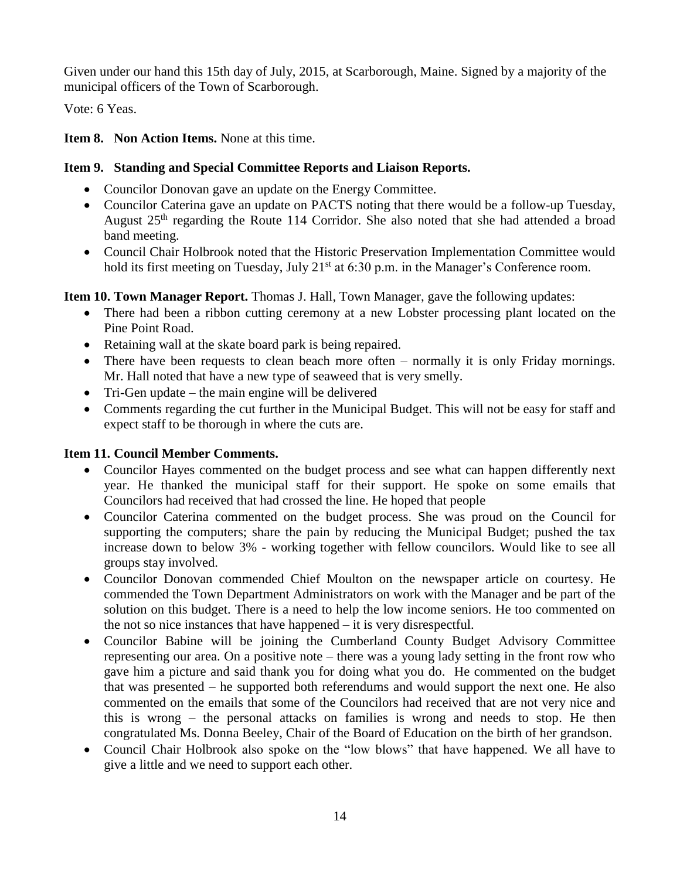Given under our hand this 15th day of July, 2015, at Scarborough, Maine. Signed by a majority of the municipal officers of the Town of Scarborough.

Vote: 6 Yeas.

**Item 8. Non Action Items.** None at this time.

## **Item 9. Standing and Special Committee Reports and Liaison Reports.**

- Councilor Donovan gave an update on the Energy Committee.
- Councilor Caterina gave an update on PACTS noting that there would be a follow-up Tuesday, August 25th regarding the Route 114 Corridor. She also noted that she had attended a broad band meeting.
- Council Chair Holbrook noted that the Historic Preservation Implementation Committee would hold its first meeting on Tuesday, July 21<sup>st</sup> at 6:30 p.m. in the Manager's Conference room.

**Item 10. Town Manager Report.** Thomas J. Hall, Town Manager, gave the following updates:

- There had been a ribbon cutting ceremony at a new Lobster processing plant located on the Pine Point Road.
- Retaining wall at the skate board park is being repaired.
- There have been requests to clean beach more often normally it is only Friday mornings. Mr. Hall noted that have a new type of seaweed that is very smelly.
- Tri-Gen update the main engine will be delivered
- Comments regarding the cut further in the Municipal Budget. This will not be easy for staff and expect staff to be thorough in where the cuts are.

# **Item 11. Council Member Comments.**

- Councilor Hayes commented on the budget process and see what can happen differently next year. He thanked the municipal staff for their support. He spoke on some emails that Councilors had received that had crossed the line. He hoped that people
- Councilor Caterina commented on the budget process. She was proud on the Council for supporting the computers; share the pain by reducing the Municipal Budget; pushed the tax increase down to below 3% - working together with fellow councilors. Would like to see all groups stay involved.
- Councilor Donovan commended Chief Moulton on the newspaper article on courtesy. He commended the Town Department Administrators on work with the Manager and be part of the solution on this budget. There is a need to help the low income seniors. He too commented on the not so nice instances that have happened – it is very disrespectful.
- Councilor Babine will be joining the Cumberland County Budget Advisory Committee representing our area. On a positive note – there was a young lady setting in the front row who gave him a picture and said thank you for doing what you do. He commented on the budget that was presented – he supported both referendums and would support the next one. He also commented on the emails that some of the Councilors had received that are not very nice and this is wrong – the personal attacks on families is wrong and needs to stop. He then congratulated Ms. Donna Beeley, Chair of the Board of Education on the birth of her grandson.
- Council Chair Holbrook also spoke on the "low blows" that have happened. We all have to give a little and we need to support each other.